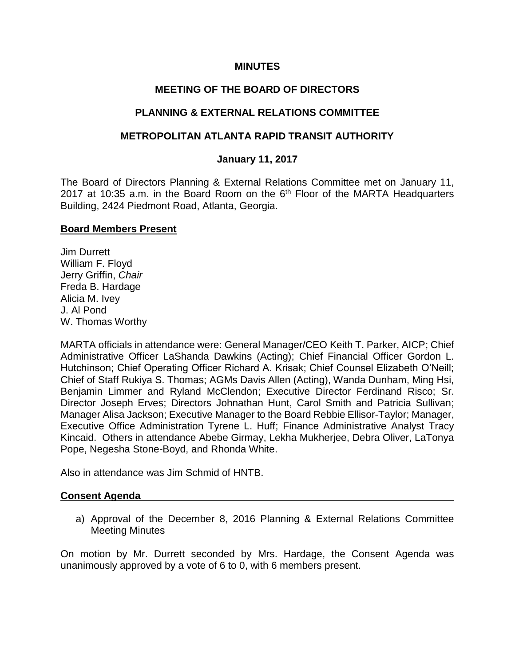#### **MINUTES**

## **MEETING OF THE BOARD OF DIRECTORS**

## **PLANNING & EXTERNAL RELATIONS COMMITTEE**

## **METROPOLITAN ATLANTA RAPID TRANSIT AUTHORITY**

#### **January 11, 2017**

The Board of Directors Planning & External Relations Committee met on January 11, 2017 at 10:35 a.m. in the Board Room on the  $6<sup>th</sup>$  Floor of the MARTA Headquarters Building, 2424 Piedmont Road, Atlanta, Georgia.

#### **Board Members Present**

Jim Durrett William F. Floyd Jerry Griffin, *Chair* Freda B. Hardage Alicia M. Ivey J. Al Pond W. Thomas Worthy

MARTA officials in attendance were: General Manager/CEO Keith T. Parker, AICP; Chief Administrative Officer LaShanda Dawkins (Acting); Chief Financial Officer Gordon L. Hutchinson; Chief Operating Officer Richard A. Krisak; Chief Counsel Elizabeth O'Neill; Chief of Staff Rukiya S. Thomas; AGMs Davis Allen (Acting), Wanda Dunham, Ming Hsi, Benjamin Limmer and Ryland McClendon; Executive Director Ferdinand Risco; Sr. Director Joseph Erves; Directors Johnathan Hunt, Carol Smith and Patricia Sullivan; Manager Alisa Jackson; Executive Manager to the Board Rebbie Ellisor-Taylor; Manager, Executive Office Administration Tyrene L. Huff; Finance Administrative Analyst Tracy Kincaid. Others in attendance Abebe Girmay, Lekha Mukherjee, Debra Oliver, LaTonya Pope, Negesha Stone-Boyd, and Rhonda White.

Also in attendance was Jim Schmid of HNTB.

#### **Consent Agenda**

a) Approval of the December 8, 2016 Planning & External Relations Committee Meeting Minutes

On motion by Mr. Durrett seconded by Mrs. Hardage, the Consent Agenda was unanimously approved by a vote of 6 to 0, with 6 members present.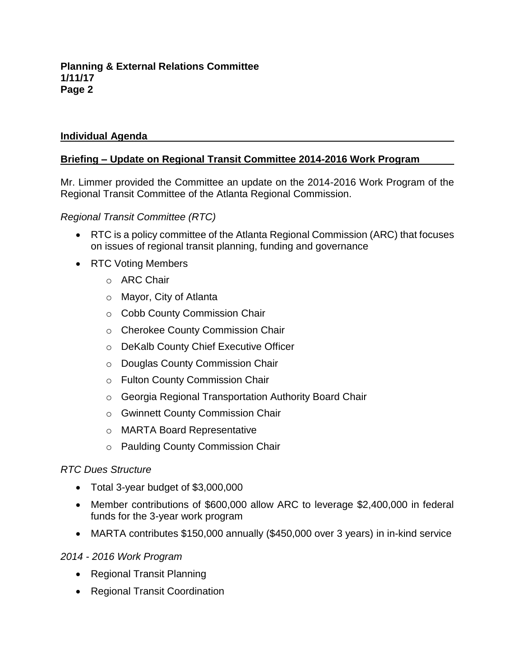## **Individual Agenda**

## **Briefing – Update on Regional Transit Committee 2014-2016 Work Program**

Mr. Limmer provided the Committee an update on the 2014-2016 Work Program of the Regional Transit Committee of the Atlanta Regional Commission.

## *Regional Transit Committee (RTC)*

- RTC is a policy committee of the Atlanta Regional Commission (ARC) that focuses on issues of regional transit planning, funding and governance
- RTC Voting Members
	- o ARC Chair
	- o Mayor, City of Atlanta
	- o Cobb County Commission Chair
	- o Cherokee County Commission Chair
	- o DeKalb County Chief Executive Officer
	- o Douglas County Commission Chair
	- o Fulton County Commission Chair
	- o Georgia Regional Transportation Authority Board Chair
	- o Gwinnett County Commission Chair
	- o MARTA Board Representative
	- o Paulding County Commission Chair

## *RTC Dues Structure*

- Total 3-year budget of \$3,000,000
- Member contributions of \$600,000 allow ARC to leverage \$2,400,000 in federal funds for the 3-year work program
- MARTA contributes \$150,000 annually (\$450,000 over 3 years) in in-kind service

## *2014 - 2016 Work Program*

- Regional Transit Planning
- Regional Transit Coordination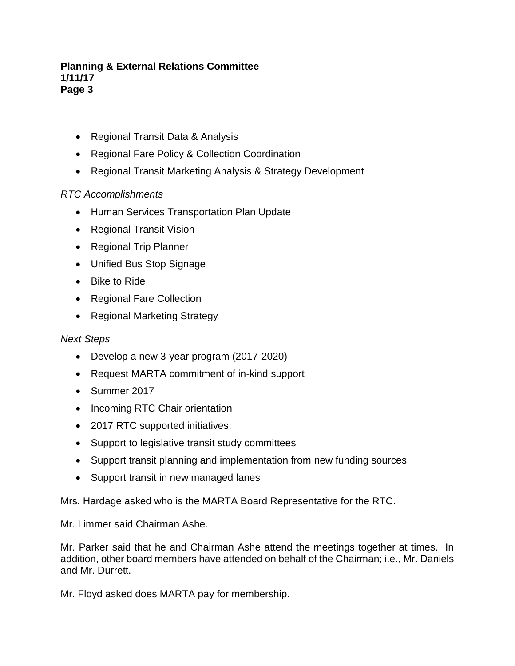- Regional Transit Data & Analysis
- Regional Fare Policy & Collection Coordination
- Regional Transit Marketing Analysis & Strategy Development

# *RTC Accomplishments*

- Human Services Transportation Plan Update
- Regional Transit Vision
- Regional Trip Planner
- Unified Bus Stop Signage
- Bike to Ride
- Regional Fare Collection
- Regional Marketing Strategy

## *Next Steps*

- Develop a new 3-year program (2017-2020)
- Request MARTA commitment of in-kind support
- Summer 2017
- Incoming RTC Chair orientation
- 2017 RTC supported initiatives:
- Support to legislative transit study committees
- Support transit planning and implementation from new funding sources
- Support transit in new managed lanes

Mrs. Hardage asked who is the MARTA Board Representative for the RTC.

Mr. Limmer said Chairman Ashe.

Mr. Parker said that he and Chairman Ashe attend the meetings together at times. In addition, other board members have attended on behalf of the Chairman; i.e., Mr. Daniels and Mr. Durrett.

Mr. Floyd asked does MARTA pay for membership.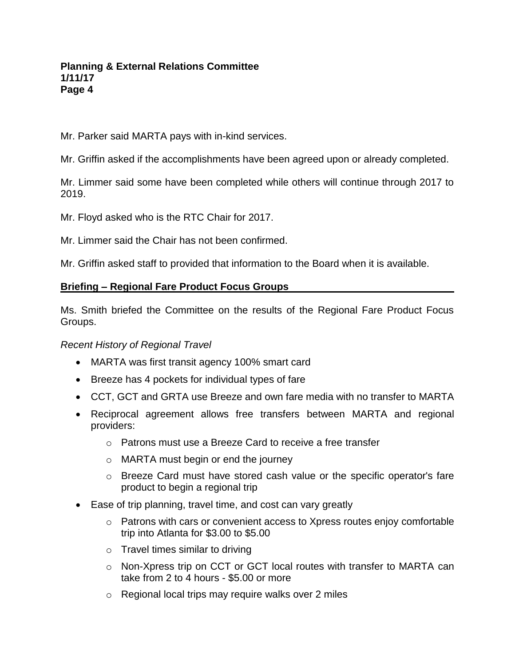Mr. Parker said MARTA pays with in-kind services.

Mr. Griffin asked if the accomplishments have been agreed upon or already completed.

Mr. Limmer said some have been completed while others will continue through 2017 to 2019.

Mr. Floyd asked who is the RTC Chair for 2017.

Mr. Limmer said the Chair has not been confirmed.

Mr. Griffin asked staff to provided that information to the Board when it is available.

## **Briefing – Regional Fare Product Focus Groups**

Ms. Smith briefed the Committee on the results of the Regional Fare Product Focus Groups.

## *Recent History of Regional Travel*

- MARTA was first transit agency 100% smart card
- Breeze has 4 pockets for individual types of fare
- CCT, GCT and GRTA use Breeze and own fare media with no transfer to MARTA
- Reciprocal agreement allows free transfers between MARTA and regional providers:
	- o Patrons must use a Breeze Card to receive a free transfer
	- o MARTA must begin or end the journey
	- o Breeze Card must have stored cash value or the specific operator's fare product to begin a regional trip
- Ease of trip planning, travel time, and cost can vary greatly
	- $\circ$  Patrons with cars or convenient access to Xpress routes enjoy comfortable trip into Atlanta for \$3.00 to \$5.00
	- $\circ$  Travel times similar to driving
	- o Non-Xpress trip on CCT or GCT local routes with transfer to MARTA can take from 2 to 4 hours - \$5.00 or more
	- o Regional local trips may require walks over 2 miles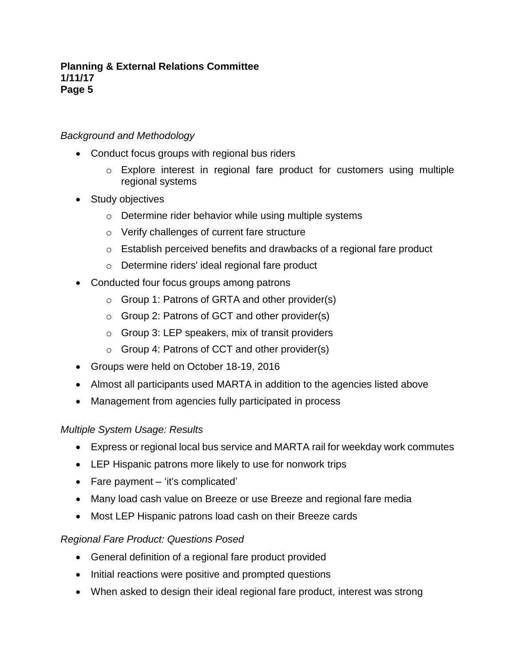# *Background and Methodology*

- Conduct focus groups with regional bus riders
	- o Explore interest in regional fare product for customers using multiple regional systems
- Study objectives
	- o Determine rider behavior while using multiple systems
	- o Verify challenges of current fare structure
	- o Establish perceived benefits and drawbacks of a regional fare product
	- o Determine riders' ideal regional fare product
- Conducted four focus groups among patrons
	- o Group 1: Patrons of GRTA and other provider(s)
	- o Group 2: Patrons of GCT and other provider(s)
	- $\circ$  Group 3: LEP speakers, mix of transit providers
	- $\circ$  Group 4: Patrons of CCT and other provider(s)
- Groups were held on October 18-19, 2016
- Almost all participants used MARTA in addition to the agencies listed above
- Management from agencies fully participated in process

## *Multiple System Usage: Results*

- Express or regional local bus service and MARTA rail for weekday work commutes
- LEP Hispanic patrons more likely to use for nonwork trips
- Fare payment 'it's complicated'
- Many load cash value on Breeze or use Breeze and regional fare media
- Most LEP Hispanic patrons load cash on their Breeze cards

## *Regional Fare Product: Questions Posed*

- General definition of a regional fare product provided
- Initial reactions were positive and prompted questions
- When asked to design their ideal regional fare product, interest was strong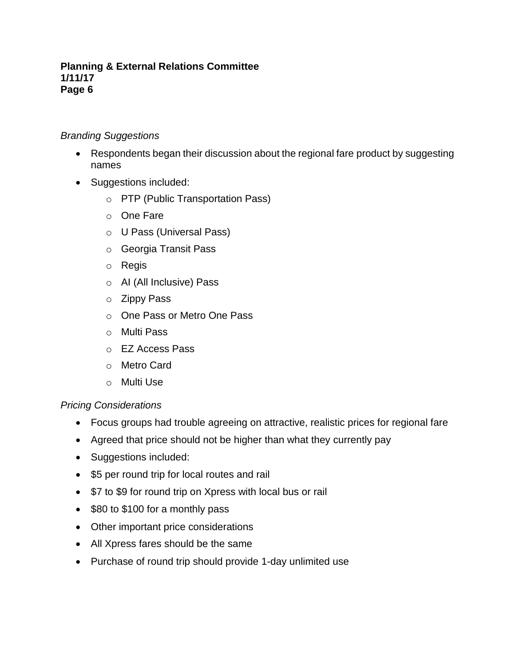## *Branding Suggestions*

- Respondents began their discussion about the regional fare product by suggesting names
- Suggestions included:
	- o PTP (Public Transportation Pass)
	- o One Fare
	- o U Pass (Universal Pass)
	- o Georgia Transit Pass
	- o Regis
	- o AI (All Inclusive) Pass
	- o Zippy Pass
	- o One Pass or Metro One Pass
	- o Multi Pass
	- o EZ Access Pass
	- o Metro Card
	- o Multi Use

## *Pricing Considerations*

- Focus groups had trouble agreeing on attractive, realistic prices for regional fare
- Agreed that price should not be higher than what they currently pay
- Suggestions included:
- \$5 per round trip for local routes and rail
- \$7 to \$9 for round trip on Xpress with local bus or rail
- \$80 to \$100 for a monthly pass
- Other important price considerations
- All Xpress fares should be the same
- Purchase of round trip should provide 1-day unlimited use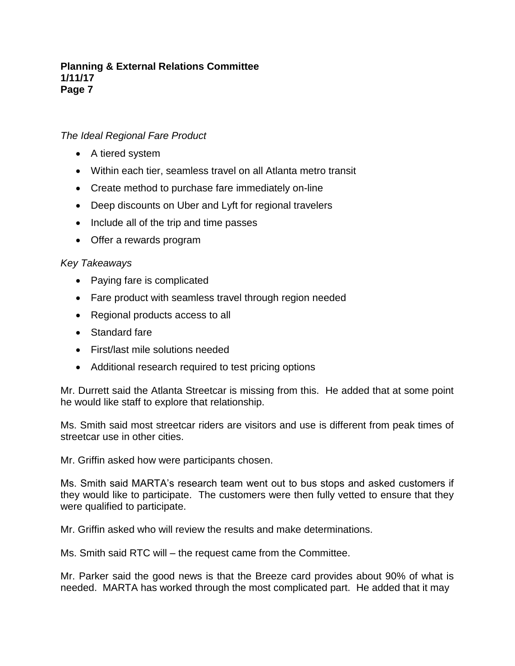## *The Ideal Regional Fare Product*

- A tiered system
- Within each tier, seamless travel on all Atlanta metro transit
- Create method to purchase fare immediately on-line
- Deep discounts on Uber and Lyft for regional travelers
- Include all of the trip and time passes
- Offer a rewards program

## *Key Takeaways*

- Paying fare is complicated
- Fare product with seamless travel through region needed
- Regional products access to all
- Standard fare
- First/last mile solutions needed
- Additional research required to test pricing options

Mr. Durrett said the Atlanta Streetcar is missing from this. He added that at some point he would like staff to explore that relationship.

Ms. Smith said most streetcar riders are visitors and use is different from peak times of streetcar use in other cities.

Mr. Griffin asked how were participants chosen.

Ms. Smith said MARTA's research team went out to bus stops and asked customers if they would like to participate. The customers were then fully vetted to ensure that they were qualified to participate.

Mr. Griffin asked who will review the results and make determinations.

Ms. Smith said RTC will – the request came from the Committee.

Mr. Parker said the good news is that the Breeze card provides about 90% of what is needed. MARTA has worked through the most complicated part. He added that it may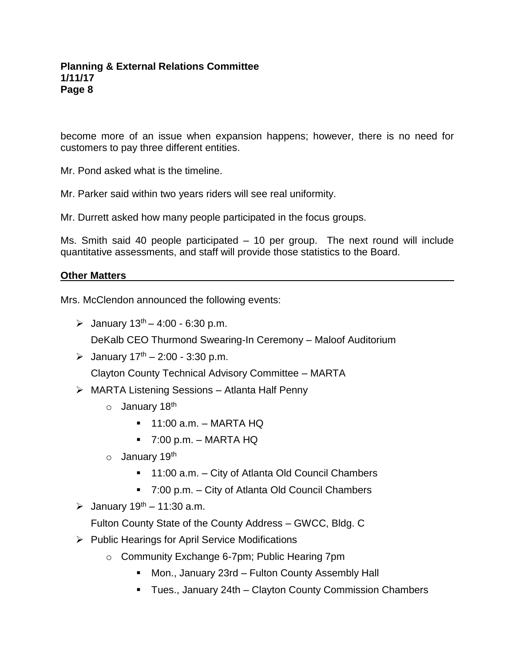become more of an issue when expansion happens; however, there is no need for customers to pay three different entities.

Mr. Pond asked what is the timeline.

Mr. Parker said within two years riders will see real uniformity.

Mr. Durrett asked how many people participated in the focus groups.

Ms. Smith said 40 people participated – 10 per group. The next round will include quantitative assessments, and staff will provide those statistics to the Board.

## **Other Matters**

Mrs. McClendon announced the following events:

 $\geq$  January 13<sup>th</sup> – 4:00 - 6:30 p.m.

DeKalb CEO Thurmond Swearing-In Ceremony – Maloof Auditorium

 $\geq$  January 17<sup>th</sup> – 2:00 - 3:30 p.m.

Clayton County Technical Advisory Committee – MARTA

- MARTA Listening Sessions Atlanta Half Penny
	- o January 18<sup>th</sup>
		- $\blacksquare$  11:00 a.m. MARTA HQ
		- $\blacksquare$  7:00 p.m. MARTA HQ
	- o January 19<sup>th</sup>
		- 11:00 a.m. City of Atlanta Old Council Chambers
		- 7:00 p.m. City of Atlanta Old Council Chambers
- $\geq$  January 19<sup>th</sup> 11:30 a.m.

Fulton County State of the County Address – GWCC, Bldg. C

- $\triangleright$  Public Hearings for April Service Modifications
	- o Community Exchange 6-7pm; Public Hearing 7pm
		- Mon., January 23rd Fulton County Assembly Hall
		- Tues., January 24th Clayton County Commission Chambers